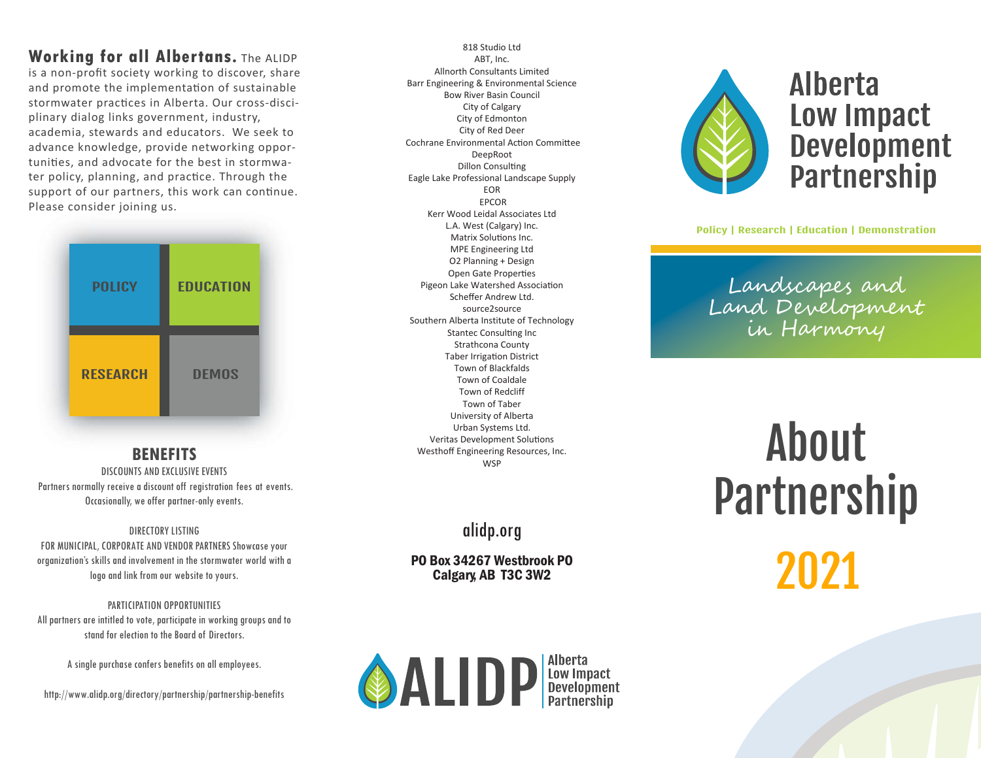#### **Working for all Albertans.** The ALIDP

is a non-profit society working to discover, share and promote the implementation of sustainable stormwater practices in Alberta. Our cross-disciplinary dialog links government, industry, academia, stewards and educators. We seek to advance knowledge, provide networking opportuniƟes, and advocate for the best in stormwater policy, planning, and practice. Through the support of our partners, this work can continue. Please consider joining us.



#### **BENEFITS**

 DISCOUNTS AND EXCLUSIVE EVENTS Partners normally receive a discount off registration fees at events. Occasionally, we offer partner-only events.

#### DIRECTORY LISTING

 FOR MUNICIPAL, CORPORATE AND VENDOR PARTNERS Showcase your organization's skills and involvement in the stormwater world with a logo and link from our website to yours.

PARTICIPATION OPPORTUNITIESAll partners are intitled to vote, participate in working groups and to stand for election to the Board of Directors.

A single purchase confers benefits on all employees.

<http://www.alidp.org/directory/partnership/partnership-benefits>

818 Studio LtdABT, Inc. Allnorth Consultants Limited Barr Engineering & Environmental ScienceBow River Basin CouncilCity of Calgary City of Edmonton City of Red DeerCochrane Environmental Action Committee DeepRootDillon Consulting Eagle Lake Professional Landscape SupplyEOR EPCOR Kerr Wood Leidal Associates LtdL.A. West (Calgary) Inc.Matrix Solutions Inc. MPE Engineering Ltd O2 Planning + Design Open Gate ProperƟesPigeon Lake Watershed Association Scheffer Andrew Ltd.source2source Southern Alberta Institute of TechnologyStantec Consulting Inc Strathcona CountyTaber Irrigation District Town of Blackfalds Town of Coaldale Town of Redcliff Town of Taber University of Alberta Urban Systems Ltd.Veritas Development Solutions Westhoff Engineering Resources, Inc.**WSP** 

### alidp.org

PO Box 34267 Westbrook POCalgary, AB T3C 3W2





## **Alberta** Low Impact **Development Partnership**

Policy | Research | Education | Demonstration

Landscapes and Land Dd Development<br>in Harmony

# About Partnership  $2^{14}$ <sup>2021</sup>